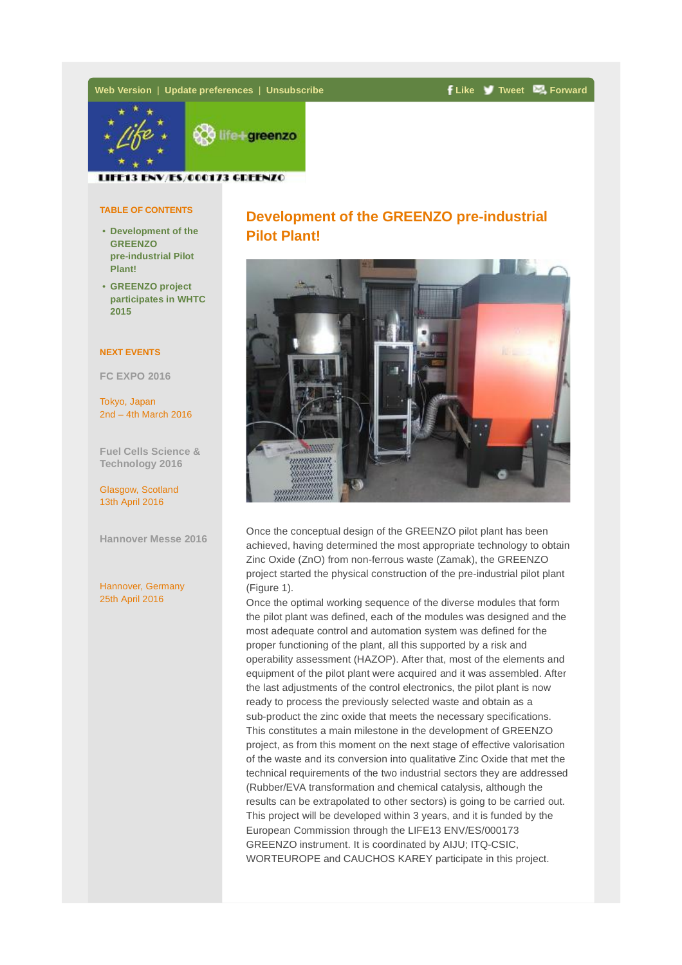# **Web [Version](http://aiju.createsend1.com/t/ViewEmail/t/FAA94FBFAFCB3CAA)** | **Update preferences** | **[Unsubscribe](mailto:lifegreenzo@aiju.info) [Like](https://es-es.facebook.com/login/) [Tweet](https://twitter.com/intent/tweet?text=Development%20of%20the%20GREENZO%20pre-industrial%20Pilot%20Plant!&url=http%3A%2F%2Fcreatesend.com%2Ft%2Ft-FAA94FBFAFCB3CAA&original_referer=http%3A%2F%2Faiju.createsend1.com%2Ft%2FViewEmail%2Ft%2FFAA94FBFAFCB3CAA) [Forward](mailto:)**



LIFE13 ENV/ES/000173 GDEENZO

#### **TABLE OF CONTENTS**

- **Development of the GREENZO pre-industrial Pilot Plant!**
- **GREENZO project [participates](#page-1-0) in WHTC 2015**

### **NEXT EVENTS**

**FC [EXPO](http://www.fcexpo.jp/en/) 2016**

Tokyo, Japan 2nd – 4th March 2016

**Fuel Cells Science & [Technology](http://www.fuelcelladvances.com/) 2016**

Glasgow, Scotland 13th April 2016

**[Hannover](http://www.hannovermesse.de/home) Messe 2016**

Hannover, Germany 25th April 2016

# **Development of the GREENZO pre-industrial Pilot Plant!**



Once the conceptual design of the GREENZO pilot plant has been achieved, having determined the most appropriate technology to obtain Zinc Oxide (ZnO) from non-ferrous waste (Zamak), the GREENZO project started the physical construction of the pre-industrial pilot plant (Figure 1).

Once the optimal working sequence of the diverse modules that form the pilot plant was defined, each of the modules was designed and the most adequate control and automation system was defined for the proper functioning of the plant, all this supported by a risk and operability assessment (HAZOP). After that, most of the elements and equipment of the pilot plant were acquired and it was assembled. After the last adjustments of the control electronics, the pilot plant is now ready to process the previously selected waste and obtain as a sub-product the zinc oxide that meets the necessary specifications. This constitutes a main milestone in the development of GREENZO project, as from this moment on the next stage of effective valorisation of the waste and its conversion into qualitative Zinc Oxide that met the technical requirements of the two industrial sectors they are addressed (Rubber/EVA transformation and chemical catalysis, although the results can be extrapolated to other sectors) is going to be carried out. This project will be developed within 3 years, and it is funded by the European Commission through the LIFE13 ENV/ES/000173 GREENZO instrument. It is coordinated by AIJU; ITQ-CSIC, WORTEUROPE and CAUCHOS KAREY participate in this project.